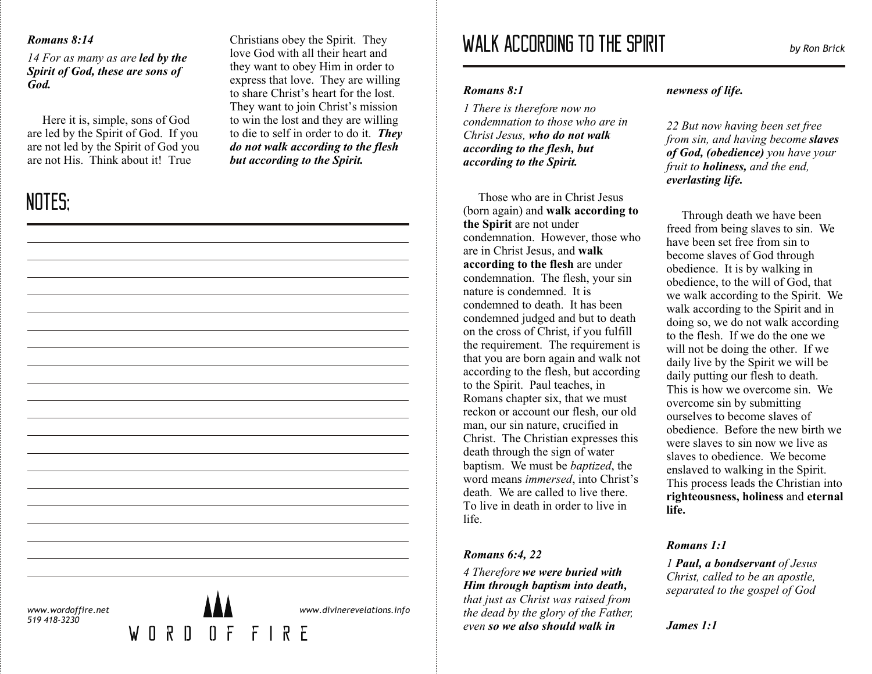## *Romans 8:14*

*14 For as many as are led by the Spirit of God, these are sons of God.*

Here it is, simple, sons of God are led by the Spirit of God. If you are not led by the Spirit of God you are not His. Think about it! True

## NOTES;

Christians obey the Spirit. They love God with all their heart and they want to obey Him in order to express that love. They are willing to share Christ's heart for the lost. They want to join Christ's mission to win the lost and they are willing to die to self in order to do it. *They do not walk according to the flesh but according to the Spirit.*

# WALK ACCORDING TO THE SPIRIT *by Ron Brick*

#### *Romans 8:1*

*1 There is therefore now no condemnation to those who are in Christ Jesus, who do not walk according to the flesh, but according to the Spirit.*

Those who are in Christ Jesus (born again) and **walk according to the Spirit** are not under condemnation. However, those who are in Christ Jesus, and **walk according to the flesh** are under condemnation. The flesh, your sin nature is condemned. It is condemned to death. It has been condemned judged and but to death on the cross of Christ, if you fulfill the requirement. The requirement is that you are born again and walk not according to the flesh, but according to the Spirit. Paul teaches, in Romans chapter six, that we must reckon or account our flesh, our old man, our sin nature, crucified in Christ. The Christian expresses this death through the sign of water baptism. We must be *baptized*, the word means *immersed*, into Christ's death. We are called to live there. To live in death in order to live in life.

#### *Romans 6:4, 22*

*4 Therefore we were buried with Him through baptism into death, that just as Christ was raised from the dead by the glory of the Father, even so we also should walk in*

## *newness of life.*

*22 But now having been set free from sin, and having become slaves of God, (obedience) you have your fruit to holiness, and the end, everlasting life.* 

Through death we have been freed from being slaves to sin. We have been set free from sin to become slaves of God through obedience. It is by walking in obedience, to the will of God, that we walk according to the Spirit. We walk according to the Spirit and in doing so, we do not walk according to the flesh. If we do the one we will not be doing the other. If we daily live by the Spirit we will be daily putting our flesh to death. This is how we overcome sin. We overcome sin by submitting ourselves to become slaves of obedience. Before the new birth we were slaves to sin now we live as slaves to obedience. We become enslaved to walking in the Spirit. This process leads the Christian into **righteousness, holiness** and **eternal life.** 

## *Romans 1:1*

*James 1:1* 

*1 Paul, a bondservant of Jesus Christ, called to be an apostle, separated to the gospel of God*

*www.divinerevelations.info*

*www.wordoffire.net 519 418-3230*